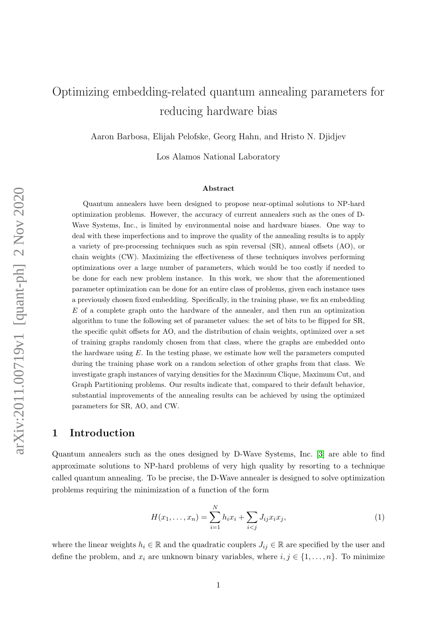# Optimizing embedding-related quantum annealing parameters for reducing hardware bias

Aaron Barbosa, Elijah Pelofske, Georg Hahn, and Hristo N. Djidjev

Los Alamos National Laboratory

#### Abstract

Quantum annealers have been designed to propose near-optimal solutions to NP-hard optimization problems. However, the accuracy of current annealers such as the ones of D-Wave Systems, Inc., is limited by environmental noise and hardware biases. One way to deal with these imperfections and to improve the quality of the annealing results is to apply a variety of pre-processing techniques such as spin reversal (SR), anneal offsets (AO), or chain weights (CW). Maximizing the effectiveness of these techniques involves performing optimizations over a large number of parameters, which would be too costly if needed to be done for each new problem instance. In this work, we show that the aforementioned parameter optimization can be done for an entire class of problems, given each instance uses a previously chosen fixed embedding. Specifically, in the training phase, we fix an embedding E of a complete graph onto the hardware of the annealer, and then run an optimization algorithm to tune the following set of parameter values: the set of bits to be flipped for SR, the specific qubit offsets for AO, and the distribution of chain weights, optimized over a set of training graphs randomly chosen from that class, where the graphs are embedded onto the hardware using  $E$ . In the testing phase, we estimate how well the parameters computed during the training phase work on a random selection of other graphs from that class. We investigate graph instances of varying densities for the Maximum Clique, Maximum Cut, and Graph Partitioning problems. Our results indicate that, compared to their default behavior, substantial improvements of the annealing results can be achieved by using the optimized parameters for SR, AO, and CW.

## <span id="page-0-1"></span>1 Introduction

Quantum annealers such as the ones designed by D-Wave Systems, Inc. [\[3\]](#page-10-0) are able to find approximate solutions to NP-hard problems of very high quality by resorting to a technique called quantum annealing. To be precise, the D-Wave annealer is designed to solve optimization problems requiring the minimization of a function of the form

<span id="page-0-0"></span>
$$
H(x_1, \dots, x_n) = \sum_{i=1}^{N} h_i x_i + \sum_{i < j} J_{ij} x_i x_j,\tag{1}
$$

where the linear weights  $h_i \in \mathbb{R}$  and the quadratic couplers  $J_{ij} \in \mathbb{R}$  are specified by the user and define the problem, and  $x_i$  are unknown binary variables, where  $i, j \in \{1, \ldots, n\}$ . To minimize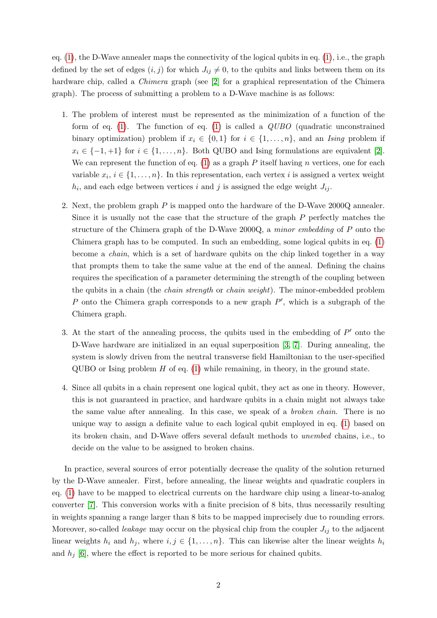eq. [\(1\)](#page-0-0), the D-Wave annealer maps the connectivity of the logical qubits in eq. [\(1\)](#page-0-0), i.e., the graph defined by the set of edges  $(i, j)$  for which  $J_{ij} \neq 0$ , to the qubits and links between them on its hardware chip, called a *Chimera* graph (see [\[2\]](#page-10-1) for a graphical representation of the Chimera graph). The process of submitting a problem to a D-Wave machine is as follows:

- 1. The problem of interest must be represented as the minimization of a function of the form of eq. [\(1\)](#page-0-0). The function of eq. (1) is called a  $QUBO$  (quadratic unconstrained binary optimization) problem if  $x_i \in \{0,1\}$  for  $i \in \{1,\ldots,n\}$ , and an Ising problem if  $x_i \in \{-1, +1\}$  for  $i \in \{1, \ldots, n\}$ . Both QUBO and Ising formulations are equivalent [\[2\]](#page-10-1). We can represent the function of eq.  $(1)$  as a graph P itself having n vertices, one for each variable  $x_i, i \in \{1, \ldots, n\}$ . In this representation, each vertex *i* is assigned a vertex weight  $h_i$ , and each edge between vertices i and j is assigned the edge weight  $J_{ij}$ .
- 2. Next, the problem graph  $P$  is mapped onto the hardware of the D-Wave 2000Q annealer. Since it is usually not the case that the structure of the graph P perfectly matches the structure of the Chimera graph of the D-Wave 2000Q, a minor embedding of P onto the Chimera graph has to be computed. In such an embedding, some logical qubits in eq. [\(1\)](#page-0-0) become a chain, which is a set of hardware qubits on the chip linked together in a way that prompts them to take the same value at the end of the anneal. Defining the chains requires the specification of a parameter determining the strength of the coupling between the qubits in a chain (the *chain strength* or *chain weight*). The minor-embedded problem P onto the Chimera graph corresponds to a new graph  $P'$ , which is a subgraph of the Chimera graph.
- 3. At the start of the annealing process, the qubits used in the embedding of  $P'$  onto the D-Wave hardware are initialized in an equal superposition [\[3,](#page-10-0) [7\]](#page-10-2). During annealing, the system is slowly driven from the neutral transverse field Hamiltonian to the user-specified QUBO or Ising problem  $H$  of eq. [\(1\)](#page-0-0) while remaining, in theory, in the ground state.
- 4. Since all qubits in a chain represent one logical qubit, they act as one in theory. However, this is not guaranteed in practice, and hardware qubits in a chain might not always take the same value after annealing. In this case, we speak of a broken chain. There is no unique way to assign a definite value to each logical qubit employed in eq. [\(1\)](#page-0-0) based on its broken chain, and D-Wave offers several default methods to unembed chains, i.e., to decide on the value to be assigned to broken chains.

In practice, several sources of error potentially decrease the quality of the solution returned by the D-Wave annealer. First, before annealing, the linear weights and quadratic couplers in eq. [\(1\)](#page-0-0) have to be mapped to electrical currents on the hardware chip using a linear-to-analog converter [\[7\]](#page-10-2). This conversion works with a finite precision of 8 bits, thus necessarily resulting in weights spanning a range larger than 8 bits to be mapped imprecisely due to rounding errors. Moreover, so-called *leakage* may occur on the physical chip from the coupler  $J_{ij}$  to the adjacent linear weights  $h_i$  and  $h_j$ , where  $i, j \in \{1, ..., n\}$ . This can likewise alter the linear weights  $h_i$ and  $h_i$  [\[6\]](#page-10-3), where the effect is reported to be more serious for chained qubits.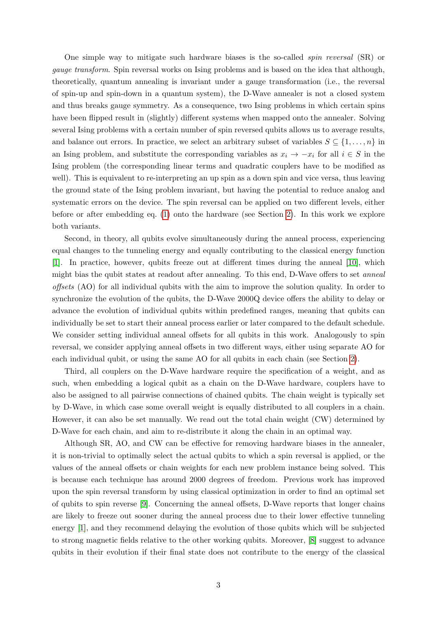One simple way to mitigate such hardware biases is the so-called spin reversal (SR) or gauge transform. Spin reversal works on Ising problems and is based on the idea that although, theoretically, quantum annealing is invariant under a gauge transformation (i.e., the reversal of spin-up and spin-down in a quantum system), the D-Wave annealer is not a closed system and thus breaks gauge symmetry. As a consequence, two Ising problems in which certain spins have been flipped result in (slightly) different systems when mapped onto the annealer. Solving several Ising problems with a certain number of spin reversed qubits allows us to average results, and balance out errors. In practice, we select an arbitrary subset of variables  $S \subseteq \{1, \ldots, n\}$  in an Ising problem, and substitute the corresponding variables as  $x_i \rightarrow -x_i$  for all  $i \in S$  in the Ising problem (the corresponding linear terms and quadratic couplers have to be modified as well). This is equivalent to re-interpreting an up spin as a down spin and vice versa, thus leaving the ground state of the Ising problem invariant, but having the potential to reduce analog and systematic errors on the device. The spin reversal can be applied on two different levels, either before or after embedding eq. [\(1\)](#page-0-0) onto the hardware (see Section [2\)](#page-3-0). In this work we explore both variants.

Second, in theory, all qubits evolve simultaneously during the anneal process, experiencing equal changes to the tunneling energy and equally contributing to the classical energy function [\[1\]](#page-10-4). In practice, however, qubits freeze out at different times during the anneal [\[10\]](#page-11-0), which might bias the qubit states at readout after annealing. To this end, D-Wave offers to set anneal offsets (AO) for all individual qubits with the aim to improve the solution quality. In order to synchronize the evolution of the qubits, the D-Wave 2000Q device offers the ability to delay or advance the evolution of individual qubits within predefined ranges, meaning that qubits can individually be set to start their anneal process earlier or later compared to the default schedule. We consider setting individual anneal offsets for all qubits in this work. Analogously to spin reversal, we consider applying anneal offsets in two different ways, either using separate AO for each individual qubit, or using the same AO for all qubits in each chain (see Section [2\)](#page-3-0).

Third, all couplers on the D-Wave hardware require the specification of a weight, and as such, when embedding a logical qubit as a chain on the D-Wave hardware, couplers have to also be assigned to all pairwise connections of chained qubits. The chain weight is typically set by D-Wave, in which case some overall weight is equally distributed to all couplers in a chain. However, it can also be set manually. We read out the total chain weight (CW) determined by D-Wave for each chain, and aim to re-distribute it along the chain in an optimal way.

Although SR, AO, and CW can be effective for removing hardware biases in the annealer, it is non-trivial to optimally select the actual qubits to which a spin reversal is applied, or the values of the anneal offsets or chain weights for each new problem instance being solved. This is because each technique has around 2000 degrees of freedom. Previous work has improved upon the spin reversal transform by using classical optimization in order to find an optimal set of qubits to spin reverse [\[9\]](#page-10-5). Concerning the anneal offsets, D-Wave reports that longer chains are likely to freeze out sooner during the anneal process due to their lower effective tunneling energy [\[1\]](#page-10-4), and they recommend delaying the evolution of those qubits which will be subjected to strong magnetic fields relative to the other working qubits. Moreover, [\[8\]](#page-10-6) suggest to advance qubits in their evolution if their final state does not contribute to the energy of the classical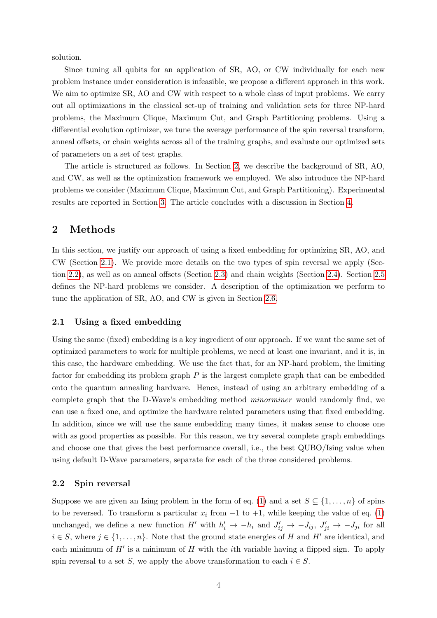solution.

Since tuning all qubits for an application of SR, AO, or CW individually for each new problem instance under consideration is infeasible, we propose a different approach in this work. We aim to optimize SR, AO and CW with respect to a whole class of input problems. We carry out all optimizations in the classical set-up of training and validation sets for three NP-hard problems, the Maximum Clique, Maximum Cut, and Graph Partitioning problems. Using a differential evolution optimizer, we tune the average performance of the spin reversal transform, anneal offsets, or chain weights across all of the training graphs, and evaluate our optimized sets of parameters on a set of test graphs.

The article is structured as follows. In Section [2,](#page-3-0) we describe the background of SR, AO, and CW, as well as the optimization framework we employed. We also introduce the NP-hard problems we consider (Maximum Clique, Maximum Cut, and Graph Partitioning). Experimental results are reported in Section [3.](#page-6-0) The article concludes with a discussion in Section [4.](#page-9-0)

## <span id="page-3-0"></span>2 Methods

In this section, we justify our approach of using a fixed embedding for optimizing SR, AO, and CW (Section [2.1\)](#page-3-1). We provide more details on the two types of spin reversal we apply (Section [2.2\)](#page-3-2), as well as on anneal offsets (Section [2.3\)](#page-4-0) and chain weights (Section [2.4\)](#page-4-1). Section [2.5](#page-5-0) defines the NP-hard problems we consider. A description of the optimization we perform to tune the application of SR, AO, and CW is given in Section [2.6.](#page-6-1)

#### <span id="page-3-1"></span>2.1 Using a fixed embedding

Using the same (fixed) embedding is a key ingredient of our approach. If we want the same set of optimized parameters to work for multiple problems, we need at least one invariant, and it is, in this case, the hardware embedding. We use the fact that, for an NP-hard problem, the limiting factor for embedding its problem graph  $P$  is the largest complete graph that can be embedded onto the quantum annealing hardware. Hence, instead of using an arbitrary embedding of a complete graph that the D-Wave's embedding method minorminer would randomly find, we can use a fixed one, and optimize the hardware related parameters using that fixed embedding. In addition, since we will use the same embedding many times, it makes sense to choose one with as good properties as possible. For this reason, we try several complete graph embeddings and choose one that gives the best performance overall, i.e., the best QUBO/Ising value when using default D-Wave parameters, separate for each of the three considered problems.

#### <span id="page-3-2"></span>2.2 Spin reversal

Suppose we are given an Ising problem in the form of eq. [\(1\)](#page-0-0) and a set  $S \subseteq \{1, \ldots, n\}$  of spins to be reversed. To transform a particular  $x_i$  from  $-1$  to  $+1$ , while keeping the value of eq. [\(1\)](#page-0-0) unchanged, we define a new function H' with  $h'_i \rightarrow -h_i$  and  $J'_{ij} \rightarrow -J_{ij}$ ,  $J'_{ji} \rightarrow -J_{ji}$  for all  $i \in S$ , where  $j \in \{1, \ldots, n\}$ . Note that the ground state energies of H and H' are identical, and each minimum of  $H'$  is a minimum of  $H$  with the *i*th variable having a flipped sign. To apply spin reversal to a set S, we apply the above transformation to each  $i \in S$ .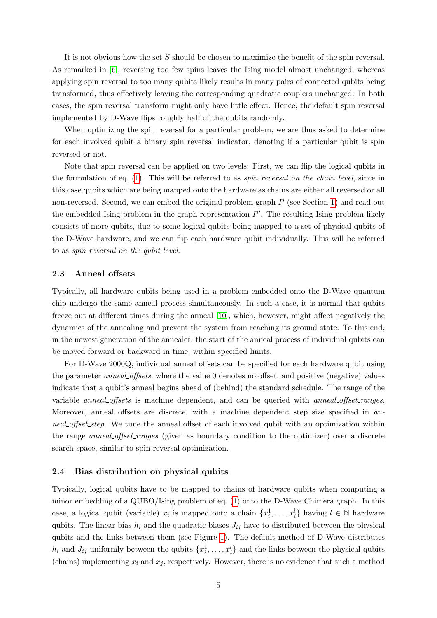It is not obvious how the set S should be chosen to maximize the benefit of the spin reversal. As remarked in [\[6\]](#page-10-3), reversing too few spins leaves the Ising model almost unchanged, whereas applying spin reversal to too many qubits likely results in many pairs of connected qubits being transformed, thus effectively leaving the corresponding quadratic couplers unchanged. In both cases, the spin reversal transform might only have little effect. Hence, the default spin reversal implemented by D-Wave flips roughly half of the qubits randomly.

When optimizing the spin reversal for a particular problem, we are thus asked to determine for each involved qubit a binary spin reversal indicator, denoting if a particular qubit is spin reversed or not.

Note that spin reversal can be applied on two levels: First, we can flip the logical qubits in the formulation of eq. [\(1\)](#page-0-0). This will be referred to as spin reversal on the chain level, since in this case qubits which are being mapped onto the hardware as chains are either all reversed or all non-reversed. Second, we can embed the original problem graph P (see Section [1\)](#page-0-1) and read out the embedded Ising problem in the graph representation  $P'$ . The resulting Ising problem likely consists of more qubits, due to some logical qubits being mapped to a set of physical qubits of the D-Wave hardware, and we can flip each hardware qubit individually. This will be referred to as spin reversal on the qubit level.

## <span id="page-4-0"></span>2.3 Anneal offsets

Typically, all hardware qubits being used in a problem embedded onto the D-Wave quantum chip undergo the same anneal process simultaneously. In such a case, it is normal that qubits freeze out at different times during the anneal [\[10\]](#page-11-0), which, however, might affect negatively the dynamics of the annealing and prevent the system from reaching its ground state. To this end, in the newest generation of the annealer, the start of the anneal process of individual qubits can be moved forward or backward in time, within specified limits.

For D-Wave 2000Q, individual anneal offsets can be specified for each hardware qubit using the parameter anneal offsets, where the value 0 denotes no offset, and positive (negative) values indicate that a qubit's anneal begins ahead of (behind) the standard schedule. The range of the variable anneal offsets is machine dependent, and can be queried with anneal offset ranges. Moreover, anneal offsets are discrete, with a machine dependent step size specified in anneal offset step. We tune the anneal offset of each involved qubit with an optimization within the range *anneal offset ranges* (given as boundary condition to the optimizer) over a discrete search space, similar to spin reversal optimization.

## <span id="page-4-1"></span>2.4 Bias distribution on physical qubits

Typically, logical qubits have to be mapped to chains of hardware qubits when computing a minor embedding of a QUBO/Ising problem of eq. [\(1\)](#page-0-0) onto the D-Wave Chimera graph. In this case, a logical qubit (variable)  $x_i$  is mapped onto a chain  $\{x_i^1, \ldots, x_i^l\}$  having  $l \in \mathbb{N}$  hardware qubits. The linear bias  $h_i$  and the quadratic biases  $J_{ij}$  have to distributed between the physical qubits and the links between them (see Figure [1\)](#page-5-1). The default method of D-Wave distributes  $h_i$  and  $J_{ij}$  uniformly between the qubits  $\{x_i^1, \ldots, x_i^l\}$  and the links between the physical qubits (chains) implementing  $x_i$  and  $x_j$ , respectively. However, there is no evidence that such a method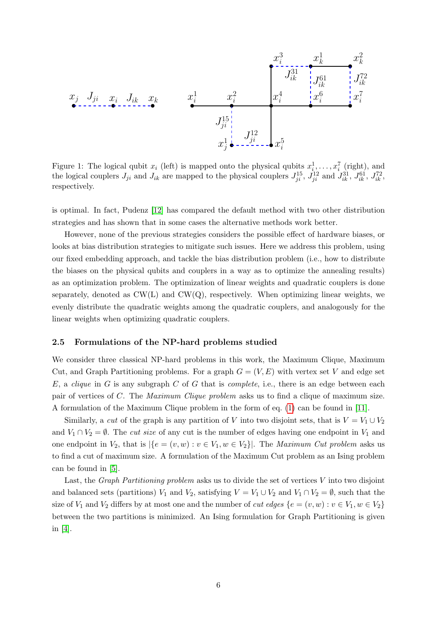

<span id="page-5-1"></span>Figure 1: The logical qubit  $x_i$  (left) is mapped onto the physical qubits  $x_i^1, \ldots, x_i^7$  (right), and the logical couplers  $J_{ji}$  and  $J_{ik}$  are mapped to the physical couplers  $J_{ji}^{15}$ ,  $J_{ji}^{12}$  and  $J_{ik}^{31}$ ,  $J_{ik}^{61}$ ,  $J_{ik}^{72}$ , respectively.

is optimal. In fact, Pudenz [\[12\]](#page-11-1) has compared the default method with two other distribution strategies and has shown that in some cases the alternative methods work better.

However, none of the previous strategies considers the possible effect of hardware biases, or looks at bias distribution strategies to mitigate such issues. Here we address this problem, using our fixed embedding approach, and tackle the bias distribution problem (i.e., how to distribute the biases on the physical qubits and couplers in a way as to optimize the annealing results) as an optimization problem. The optimization of linear weights and quadratic couplers is done separately, denoted as  $CW(L)$  and  $CW(Q)$ , respectively. When optimizing linear weights, we evenly distribute the quadratic weights among the quadratic couplers, and analogously for the linear weights when optimizing quadratic couplers.

#### <span id="page-5-0"></span>2.5 Formulations of the NP-hard problems studied

We consider three classical NP-hard problems in this work, the Maximum Clique, Maximum Cut, and Graph Partitioning problems. For a graph  $G = (V, E)$  with vertex set V and edge set  $E$ , a *clique* in  $G$  is any subgraph  $C$  of  $G$  that is *complete*, i.e., there is an edge between each pair of vertices of C. The Maximum Clique problem asks us to find a clique of maximum size. A formulation of the Maximum Clique problem in the form of eq. [\(1\)](#page-0-0) can be found in [\[11\]](#page-11-2).

Similarly, a cut of the graph is any partition of V into two disjoint sets, that is  $V = V_1 \cup V_2$ and  $V_1 \cap V_2 = \emptyset$ . The *cut size* of any cut is the number of edges having one endpoint in  $V_1$  and one endpoint in  $V_2$ , that is  $|\{e = (v, w) : v \in V_1, w \in V_2\}|$ . The *Maximum Cut problem* asks us to find a cut of maximum size. A formulation of the Maximum Cut problem as an Ising problem can be found in [\[5\]](#page-10-7).

Last, the *Graph Partitioning problem* asks us to divide the set of vertices V into two disjoint and balanced sets (partitions)  $V_1$  and  $V_2$ , satisfying  $V = V_1 \cup V_2$  and  $V_1 \cap V_2 = \emptyset$ , such that the size of  $V_1$  and  $V_2$  differs by at most one and the number of *cut edges*  $\{e = (v, w) : v \in V_1, w \in V_2\}$ between the two partitions is minimized. An Ising formulation for Graph Partitioning is given in [\[4\]](#page-10-8).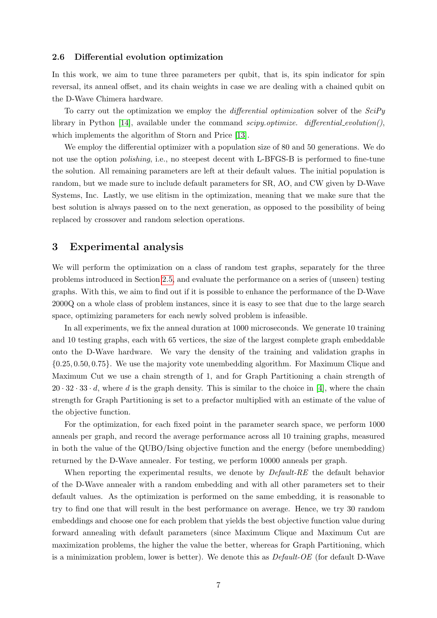#### <span id="page-6-1"></span>2.6 Differential evolution optimization

In this work, we aim to tune three parameters per qubit, that is, its spin indicator for spin reversal, its anneal offset, and its chain weights in case we are dealing with a chained qubit on the D-Wave Chimera hardware.

To carry out the optimization we employ the *differential optimization* solver of the *SciPy* library in Python [\[14\]](#page-11-3), available under the command scipy.optimize. differential evolution(), which implements the algorithm of Storn and Price [\[13\]](#page-11-4).

We employ the differential optimizer with a population size of 80 and 50 generations. We do not use the option *polishing*, i.e., no steepest decent with L-BFGS-B is performed to fine-tune the solution. All remaining parameters are left at their default values. The initial population is random, but we made sure to include default parameters for SR, AO, and CW given by D-Wave Systems, Inc. Lastly, we use elitism in the optimization, meaning that we make sure that the best solution is always passed on to the next generation, as opposed to the possibility of being replaced by crossover and random selection operations.

## <span id="page-6-0"></span>3 Experimental analysis

We will perform the optimization on a class of random test graphs, separately for the three problems introduced in Section [2.5,](#page-5-0) and evaluate the performance on a series of (unseen) testing graphs. With this, we aim to find out if it is possible to enhance the performance of the D-Wave 2000Q on a whole class of problem instances, since it is easy to see that due to the large search space, optimizing parameters for each newly solved problem is infeasible.

In all experiments, we fix the anneal duration at 1000 microseconds. We generate 10 training and 10 testing graphs, each with 65 vertices, the size of the largest complete graph embeddable onto the D-Wave hardware. We vary the density of the training and validation graphs in {0.25, 0.50, 0.75}. We use the majority vote unembedding algorithm. For Maximum Clique and Maximum Cut we use a chain strength of 1, and for Graph Partitioning a chain strength of  $20 \cdot 32 \cdot 33 \cdot d$ , where d is the graph density. This is similar to the choice in [\[4\]](#page-10-8), where the chain strength for Graph Partitioning is set to a prefactor multiplied with an estimate of the value of the objective function.

For the optimization, for each fixed point in the parameter search space, we perform 1000 anneals per graph, and record the average performance across all 10 training graphs, measured in both the value of the QUBO/Ising objective function and the energy (before unembedding) returned by the D-Wave annealer. For testing, we perform 10000 anneals per graph.

When reporting the experimental results, we denote by *Default-RE* the default behavior of the D-Wave annealer with a random embedding and with all other parameters set to their default values. As the optimization is performed on the same embedding, it is reasonable to try to find one that will result in the best performance on average. Hence, we try 30 random embeddings and choose one for each problem that yields the best objective function value during forward annealing with default parameters (since Maximum Clique and Maximum Cut are maximization problems, the higher the value the better, whereas for Graph Partitioning, which is a minimization problem, lower is better). We denote this as Default-OE (for default D-Wave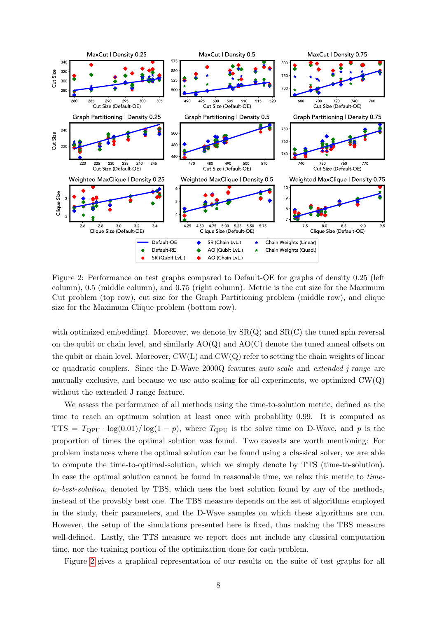

<span id="page-7-0"></span>Figure 2: Performance on test graphs compared to Default-OE for graphs of density 0.25 (left column), 0.5 (middle column), and 0.75 (right column). Metric is the cut size for the Maximum Cut problem (top row), cut size for the Graph Partitioning problem (middle row), and clique size for the Maximum Clique problem (bottom row).

with optimized embedding). Moreover, we denote by  $SR(Q)$  and  $SR(C)$  the tuned spin reversal on the qubit or chain level, and similarly  $AO(Q)$  and  $AO(C)$  denote the tuned anneal offsets on the qubit or chain level. Moreover,  $CW(L)$  and  $CW(Q)$  refer to setting the chain weights of linear or quadratic couplers. Since the D-Wave 2000Q features *auto\_scale* and *extended\_j\_range* are mutually exclusive, and because we use auto scaling for all experiments, we optimized  $CW(Q)$ without the extended J range feature.

We assess the performance of all methods using the time-to-solution metric, defined as the time to reach an optimum solution at least once with probability 0.99. It is computed as TTS =  $T_{\text{OPU}} \cdot \log(0.01)/\log(1-p)$ , where  $T_{\text{OPU}}$  is the solve time on D-Wave, and p is the proportion of times the optimal solution was found. Two caveats are worth mentioning: For problem instances where the optimal solution can be found using a classical solver, we are able to compute the time-to-optimal-solution, which we simply denote by TTS (time-to-solution). In case the optimal solution cannot be found in reasonable time, we relax this metric to timeto-best-solution, denoted by TBS, which uses the best solution found by any of the methods, instead of the provably best one. The TBS measure depends on the set of algorithms employed in the study, their parameters, and the D-Wave samples on which these algorithms are run. However, the setup of the simulations presented here is fixed, thus making the TBS measure well-defined. Lastly, the TTS measure we report does not include any classical computation time, nor the training portion of the optimization done for each problem.

Figure [2](#page-7-0) gives a graphical representation of our results on the suite of test graphs for all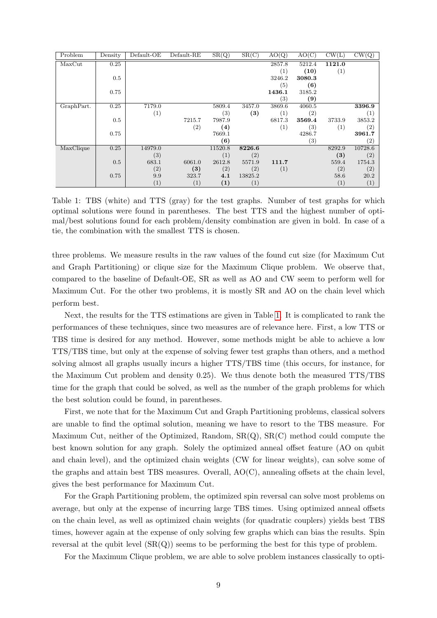| Problem    | Density | Default-OE | Default-RE        | SR(Q)             | SR(C)             | AO(Q)            | AO(C)  | CW(L)  | $\overline{\mathrm{CW}(Q)}$ |
|------------|---------|------------|-------------------|-------------------|-------------------|------------------|--------|--------|-----------------------------|
| MaxCut     | 0.25    |            |                   |                   |                   | 2857.8           | 5212.4 | 1121.0 |                             |
|            |         |            |                   |                   |                   | (1)              | (10)   | (1)    |                             |
|            | 0.5     |            |                   |                   |                   | 3246.2           | 3080.3 |        |                             |
|            |         |            |                   |                   |                   | (5)              | (6)    |        |                             |
|            | 0.75    |            |                   |                   |                   | 1436.1           | 3185.2 |        |                             |
|            |         |            |                   |                   |                   | (3)              | (9)    |        |                             |
| GraphPart. | 0.25    | 7179.0     |                   | 5809.4            | 3457.0            | 3869.6           | 4060.5 |        | 3396.9                      |
|            |         | (1)        |                   | (3)               | $\left(3\right)$  | $\left(1\right)$ | (2)    |        | (1)                         |
|            | 0.5     |            | 7215.7            | 7987.9            |                   | 6817.3           | 3569.4 | 3733.9 | 3853.2                      |
|            |         |            | $\left( 2\right)$ | $\left( 4\right)$ |                   | (1)              | (3)    | (1)    | (2)                         |
|            | 0.75    |            |                   | 7669.1            |                   |                  | 4286.7 |        | 3961.7                      |
|            |         |            |                   | (6)               |                   |                  | (3)    |        | (2)                         |
| MaxClique  | 0.25    | 14979.0    |                   | 11520.8           | 8226.6            |                  |        | 8292.9 | 10728.6                     |
|            |         | (3)        |                   | (1)               | (2)               |                  |        | (3)    | (2)                         |
|            | 0.5     | 683.1      | 6061.0            | 2612.8            | 5571.9            | 111.7            |        | 559.4  | 1754.3                      |
|            |         | (2)        | (3)               | (2)               | (2)               | (1)              |        | (2)    | (2)                         |
|            | 0.75    | 9.9        | 323.7             | 4.1               | 13825.2           |                  |        | 58.6   | 20.2                        |
|            |         | (1)        | (1)               | $\left(1\right)$  | $\left( 1\right)$ |                  |        | (1)    | (1)                         |

<span id="page-8-0"></span>Table 1: TBS (white) and TTS (gray) for the test graphs. Number of test graphs for which optimal solutions were found in parentheses. The best TTS and the highest number of optimal/best solutions found for each problem/density combination are given in bold. In case of a tie, the combination with the smallest TTS is chosen.

three problems. We measure results in the raw values of the found cut size (for Maximum Cut and Graph Partitioning) or clique size for the Maximum Clique problem. We observe that, compared to the baseline of Default-OE, SR as well as AO and CW seem to perform well for Maximum Cut. For the other two problems, it is mostly SR and AO on the chain level which perform best.

Next, the results for the TTS estimations are given in Table [1.](#page-8-0) It is complicated to rank the performances of these techniques, since two measures are of relevance here. First, a low TTS or TBS time is desired for any method. However, some methods might be able to achieve a low TTS/TBS time, but only at the expense of solving fewer test graphs than others, and a method solving almost all graphs usually incurs a higher TTS/TBS time (this occurs, for instance, for the Maximum Cut problem and density 0.25). We thus denote both the measured TTS/TBS time for the graph that could be solved, as well as the number of the graph problems for which the best solution could be found, in parentheses.

First, we note that for the Maximum Cut and Graph Partitioning problems, classical solvers are unable to find the optimal solution, meaning we have to resort to the TBS measure. For Maximum Cut, neither of the Optimized, Random, SR(Q), SR(C) method could compute the best known solution for any graph. Solely the optimized anneal offset feature (AO on qubit and chain level), and the optimized chain weights (CW for linear weights), can solve some of the graphs and attain best TBS measures. Overall, AO(C), annealing offsets at the chain level, gives the best performance for Maximum Cut.

For the Graph Partitioning problem, the optimized spin reversal can solve most problems on average, but only at the expense of incurring large TBS times. Using optimized anneal offsets on the chain level, as well as optimized chain weights (for quadratic couplers) yields best TBS times, however again at the expense of only solving few graphs which can bias the results. Spin reversal at the qubit level  $(SR(Q))$  seems to be performing the best for this type of problem.

For the Maximum Clique problem, we are able to solve problem instances classically to opti-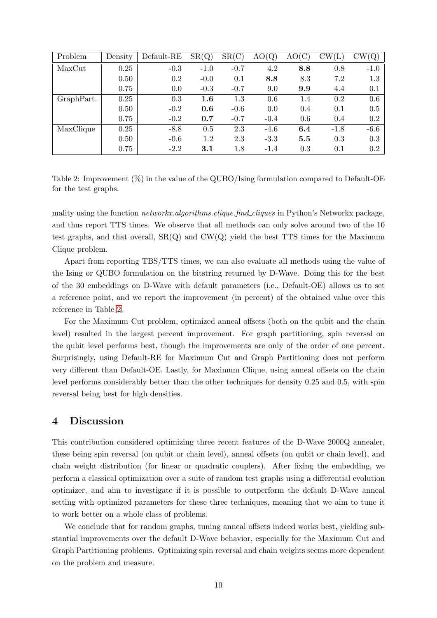| Problem    | Density | Default-RE | SR(Q)   | SR(C)  | (Q,    | AO  | $\mathbb{C}\mathrm{W}(\mathrm{L})$ | (Q)    |
|------------|---------|------------|---------|--------|--------|-----|------------------------------------|--------|
| MaxCut     | 0.25    | $-0.3$     | $-1.0$  | $-0.7$ | 4.2    | 8.8 | 0.8                                | $-1.0$ |
|            | 0.50    | 0.2        | $-0.0$  | 0.1    | 8.8    | 8.3 | 7.2                                | 1.3    |
|            | 0.75    | 0.0        | $-0.3$  | $-0.7$ | 9.0    | 9.9 | 4.4                                | 0.1    |
| GraphPart. | 0.25    | 0.3        | $1.6\,$ | 1.3    | 0.6    | 1.4 | 0.2                                | 0.6    |
|            | 0.50    | $-0.2$     | 0.6     | $-0.6$ | 0.0    | 0.4 | 0.1                                | 0.5    |
|            | 0.75    | $-0.2$     | 0.7     | $-0.7$ | $-0.4$ | 0.6 | 0.4                                | 0.2    |
| MaxClique  | 0.25    | $-8.8$     | 0.5     | 2.3    | $-4.6$ | 6.4 | $-1.8$                             | $-6.6$ |
|            | 0.50    | $-0.6$     | 1.2     | 2.3    | $-3.3$ | 5.5 | 0.3                                | 0.3    |
|            | 0.75    | $-2.2$     | $3.1\,$ | 1.8    | $-1.4$ | 0.3 | 0.1                                | 0.2    |

<span id="page-9-1"></span>Table 2: Improvement (%) in the value of the QUBO/Ising formulation compared to Default-OE for the test graphs.

mality using the function networkx.algorithms.clique.find cliques in Python's Networkx package, and thus report TTS times. We observe that all methods can only solve around two of the 10 test graphs, and that overall,  $SR(Q)$  and  $CW(Q)$  yield the best TTS times for the Maximum Clique problem.

Apart from reporting TBS/TTS times, we can also evaluate all methods using the value of the Ising or QUBO formulation on the bitstring returned by D-Wave. Doing this for the best of the 30 embeddings on D-Wave with default parameters (i.e., Default-OE) allows us to set a reference point, and we report the improvement (in percent) of the obtained value over this reference in Table [2.](#page-9-1)

For the Maximum Cut problem, optimized anneal offsets (both on the qubit and the chain level) resulted in the largest percent improvement. For graph partitioning, spin reversal on the qubit level performs best, though the improvements are only of the order of one percent. Surprisingly, using Default-RE for Maximum Cut and Graph Partitioning does not perform very different than Default-OE. Lastly, for Maximum Clique, using anneal offsets on the chain level performs considerably better than the other techniques for density 0.25 and 0.5, with spin reversal being best for high densities.

## <span id="page-9-0"></span>4 Discussion

This contribution considered optimizing three recent features of the D-Wave 2000Q annealer, these being spin reversal (on qubit or chain level), anneal offsets (on qubit or chain level), and chain weight distribution (for linear or quadratic couplers). After fixing the embedding, we perform a classical optimization over a suite of random test graphs using a differential evolution optimizer, and aim to investigate if it is possible to outperform the default D-Wave anneal setting with optimized parameters for these three techniques, meaning that we aim to tune it to work better on a whole class of problems.

We conclude that for random graphs, tuning anneal offsets indeed works best, yielding substantial improvements over the default D-Wave behavior, especially for the Maximum Cut and Graph Partitioning problems. Optimizing spin reversal and chain weights seems more dependent on the problem and measure.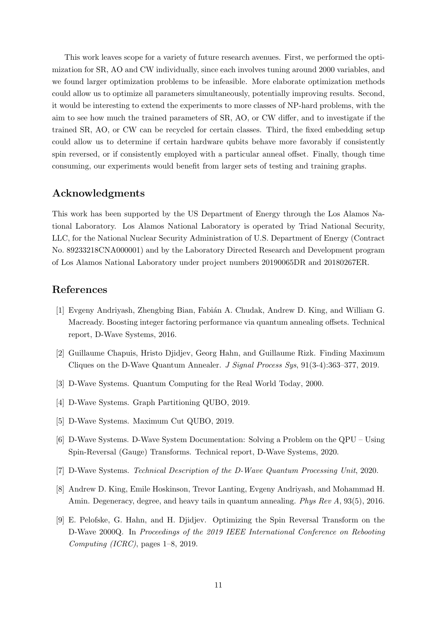This work leaves scope for a variety of future research avenues. First, we performed the optimization for SR, AO and CW individually, since each involves tuning around 2000 variables, and we found larger optimization problems to be infeasible. More elaborate optimization methods could allow us to optimize all parameters simultaneously, potentially improving results. Second, it would be interesting to extend the experiments to more classes of NP-hard problems, with the aim to see how much the trained parameters of SR, AO, or CW differ, and to investigate if the trained SR, AO, or CW can be recycled for certain classes. Third, the fixed embedding setup could allow us to determine if certain hardware qubits behave more favorably if consistently spin reversed, or if consistently employed with a particular anneal offset. Finally, though time consuming, our experiments would benefit from larger sets of testing and training graphs.

## Acknowledgments

This work has been supported by the US Department of Energy through the Los Alamos National Laboratory. Los Alamos National Laboratory is operated by Triad National Security, LLC, for the National Nuclear Security Administration of U.S. Department of Energy (Contract No. 89233218CNA000001) and by the Laboratory Directed Research and Development program of Los Alamos National Laboratory under project numbers 20190065DR and 20180267ER.

# References

- <span id="page-10-4"></span>[1] Evgeny Andriyash, Zhengbing Bian, Fabi´an A. Chudak, Andrew D. King, and William G. Macready. Boosting integer factoring performance via quantum annealing offsets. Technical report, D-Wave Systems, 2016.
- <span id="page-10-1"></span>[2] Guillaume Chapuis, Hristo Djidjev, Georg Hahn, and Guillaume Rizk. Finding Maximum Cliques on the D-Wave Quantum Annealer. J Signal Process Sys, 91(3-4):363–377, 2019.
- <span id="page-10-0"></span>[3] D-Wave Systems. Quantum Computing for the Real World Today, 2000.
- <span id="page-10-8"></span>[4] D-Wave Systems. Graph Partitioning QUBO, 2019.
- <span id="page-10-7"></span>[5] D-Wave Systems. Maximum Cut QUBO, 2019.
- <span id="page-10-3"></span>[6] D-Wave Systems. D-Wave System Documentation: Solving a Problem on the QPU – Using Spin-Reversal (Gauge) Transforms. Technical report, D-Wave Systems, 2020.
- <span id="page-10-2"></span>[7] D-Wave Systems. Technical Description of the D-Wave Quantum Processing Unit, 2020.
- <span id="page-10-6"></span>[8] Andrew D. King, Emile Hoskinson, Trevor Lanting, Evgeny Andriyash, and Mohammad H. Amin. Degeneracy, degree, and heavy tails in quantum annealing. Phys Rev A, 93(5), 2016.
- <span id="page-10-5"></span>[9] E. Pelofske, G. Hahn, and H. Djidjev. Optimizing the Spin Reversal Transform on the D-Wave 2000Q. In Proceedings of the 2019 IEEE International Conference on Rebooting Computing (ICRC), pages 1–8, 2019.